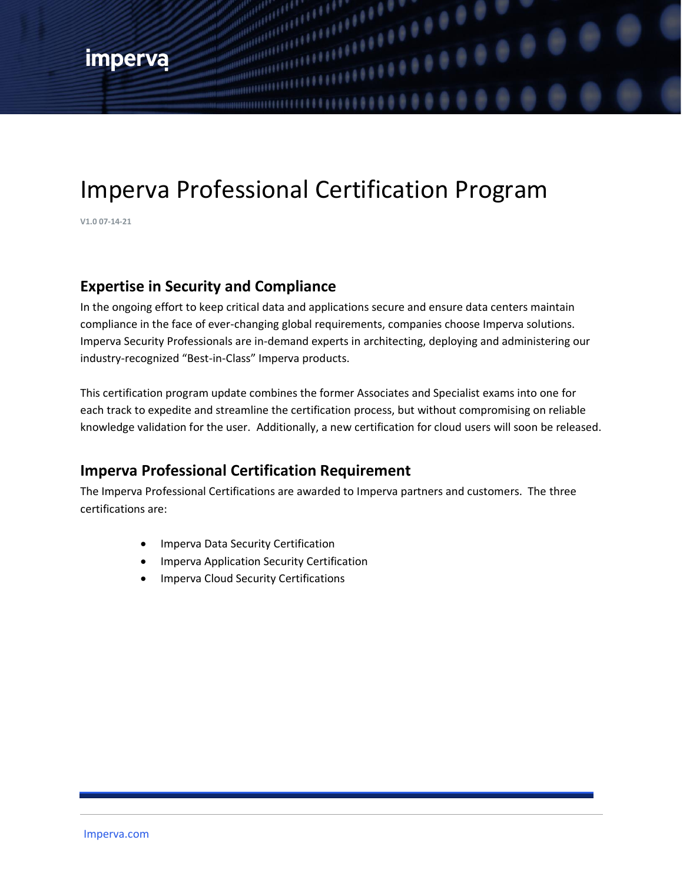# Imperva Professional Certification Program

,,,,,,,,,,

 $\frac{1}{1111111100}$ 

**V1.0 07-14-21**

#### **Expertise in Security and Compliance**

In the ongoing effort to keep critical data and applications secure and ensure data centers maintain compliance in the face of ever-changing global requirements, companies choose Imperva solutions. Imperva Security Professionals are in-demand experts in architecting, deploying and administering our industry-recognized "Best-in-Class" Imperva products.

This certification program update combines the former Associates and Specialist exams into one for each track to expedite and streamline the certification process, but without compromising on reliable knowledge validation for the user. Additionally, a new certification for cloud users will soon be released.

### **Imperva Professional Certification Requirement**

The Imperva Professional Certifications are awarded to Imperva partners and customers. The three certifications are:

- Imperva Data Security Certification
- Imperva Application Security Certification
- Imperva Cloud Security Certifications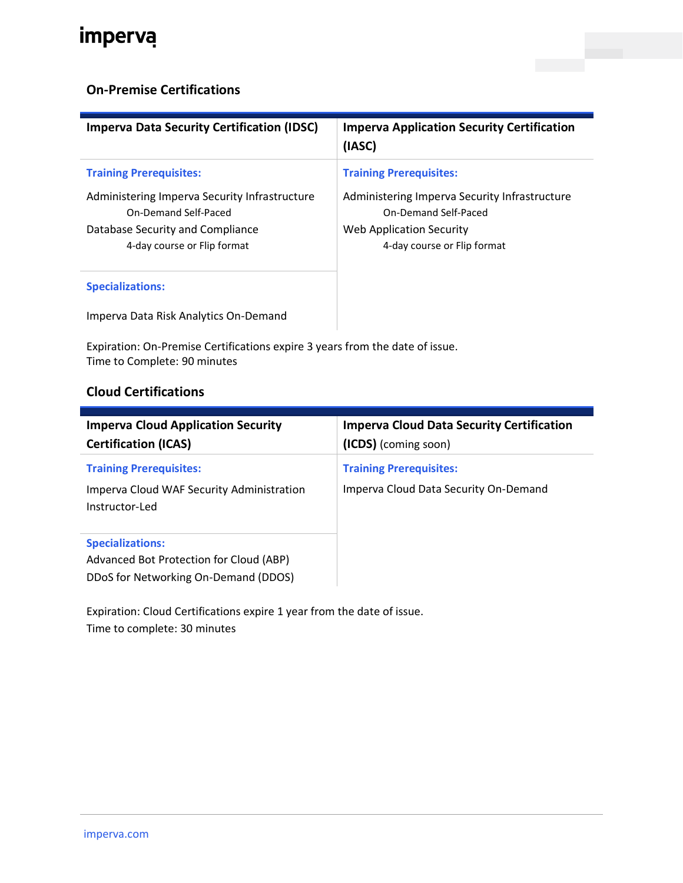# imperva

#### **On-Premise Certifications**

| <b>Imperva Data Security Certification (IDSC)</b>                                                                                        | <b>Imperva Application Security Certification</b><br>(IASC)                                                                      |
|------------------------------------------------------------------------------------------------------------------------------------------|----------------------------------------------------------------------------------------------------------------------------------|
| <b>Training Prerequisites:</b>                                                                                                           | <b>Training Prerequisites:</b>                                                                                                   |
| Administering Imperva Security Infrastructure<br>On-Demand Self-Paced<br>Database Security and Compliance<br>4-day course or Flip format | Administering Imperva Security Infrastructure<br>On-Demand Self-Paced<br>Web Application Security<br>4-day course or Flip format |
| <b>Specializations:</b>                                                                                                                  |                                                                                                                                  |

Imperva Data Risk Analytics On-Demand

Expiration: On-Premise Certifications expire 3 years from the date of issue. Time to Complete: 90 minutes

#### **Cloud Certifications**

| <b>Imperva Cloud Application Security</b><br><b>Certification (ICAS)</b>                                   | <b>Imperva Cloud Data Security Certification</b><br>(ICDS) (coming soon) |
|------------------------------------------------------------------------------------------------------------|--------------------------------------------------------------------------|
| <b>Training Prerequisites:</b><br>Imperva Cloud WAF Security Administration<br>Instructor-Led              | <b>Training Prerequisites:</b><br>Imperva Cloud Data Security On-Demand  |
| <b>Specializations:</b><br>Advanced Bot Protection for Cloud (ABP)<br>DDoS for Networking On-Demand (DDOS) |                                                                          |

Expiration: Cloud Certifications expire 1 year from the date of issue. Time to complete: 30 minutes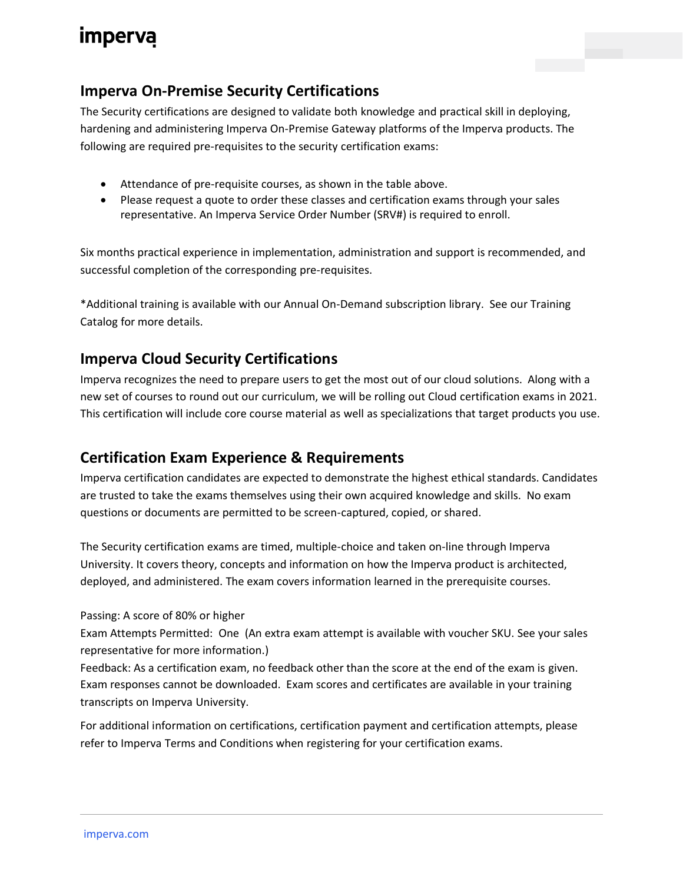## **imperva**

## **Imperva On-Premise Security Certifications**

The Security certifications are designed to validate both knowledge and practical skill in deploying, hardening and administering Imperva On-Premise Gateway platforms of the Imperva products. The following are required pre-requisites to the security certification exams:

- Attendance of pre-requisite courses, as shown in the table above.
- Please request a quote to order these classes and certification exams through your sales representative. An Imperva Service Order Number (SRV#) is required to enroll.

Six months practical experience in implementation, administration and support is recommended, and successful completion of the corresponding pre-requisites.

\*Additional training is available with our Annual On-Demand subscription library. See our Training Catalog for more details.

### **Imperva Cloud Security Certifications**

Imperva recognizes the need to prepare users to get the most out of our cloud solutions. Along with a new set of courses to round out our curriculum, we will be rolling out Cloud certification exams in 2021. This certification will include core course material as well as specializations that target products you use.

### **Certification Exam Experience & Requirements**

Imperva certification candidates are expected to demonstrate the highest ethical standards. Candidates are trusted to take the exams themselves using their own acquired knowledge and skills. No exam questions or documents are permitted to be screen-captured, copied, or shared.

The Security certification exams are timed, multiple-choice and taken on-line through Imperva University. It covers theory, concepts and information on how the Imperva product is architected, deployed, and administered. The exam covers information learned in the prerequisite courses.

#### Passing: A score of 80% or higher

Exam Attempts Permitted: One (An extra exam attempt is available with voucher SKU. See your sales representative for more information.)

Feedback: As a certification exam, no feedback other than the score at the end of the exam is given. Exam responses cannot be downloaded. Exam scores and certificates are available in your training transcripts on Imperva University.

For additional information on certifications, certification payment and certification attempts, please refer to Imperva Terms and Conditions when registering for your certification exams.